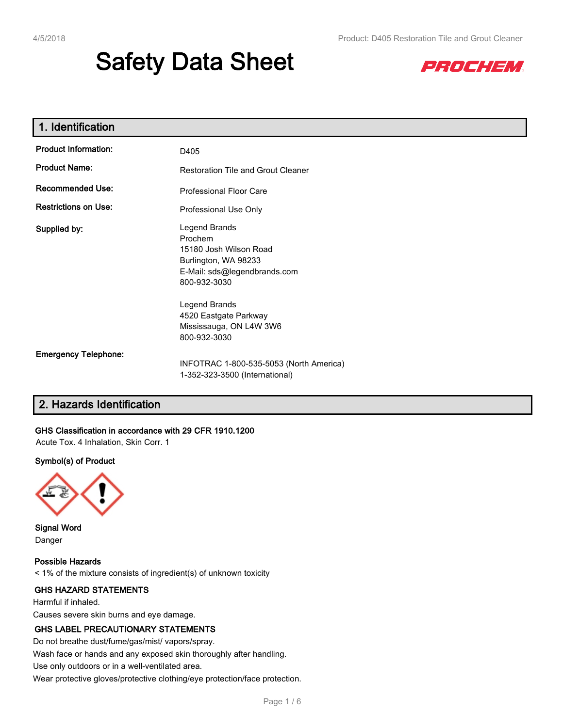# **Safety Data Sheet**



| 1. Identification           |                                                                                                                            |
|-----------------------------|----------------------------------------------------------------------------------------------------------------------------|
| <b>Product Information:</b> | D405                                                                                                                       |
| <b>Product Name:</b>        | <b>Restoration Tile and Grout Cleaner</b>                                                                                  |
| <b>Recommended Use:</b>     | <b>Professional Floor Care</b>                                                                                             |
| <b>Restrictions on Use:</b> | Professional Use Only                                                                                                      |
| Supplied by:                | Legend Brands<br>Prochem<br>15180 Josh Wilson Road<br>Burlington, WA 98233<br>E-Mail: sds@legendbrands.com<br>800-932-3030 |
|                             | Legend Brands<br>4520 Eastgate Parkway<br>Mississauga, ON L4W 3W6<br>800-932-3030                                          |
| <b>Emergency Telephone:</b> | INFOTRAC 1-800-535-5053 (North America)<br>1-352-323-3500 (International)                                                  |

## **2. Hazards Identification**

#### **GHS Classification in accordance with 29 CFR 1910.1200**

Acute Tox. 4 Inhalation, Skin Corr. 1

#### **Symbol(s) of Product**



**Signal Word** Danger

**Possible Hazards** < 1% of the mixture consists of ingredient(s) of unknown toxicity

#### **GHS HAZARD STATEMENTS**

Harmful if inhaled.

Causes severe skin burns and eye damage.

#### **GHS LABEL PRECAUTIONARY STATEMENTS**

Do not breathe dust/fume/gas/mist/ vapors/spray.

Wash face or hands and any exposed skin thoroughly after handling.

Use only outdoors or in a well-ventilated area.

Wear protective gloves/protective clothing/eye protection/face protection.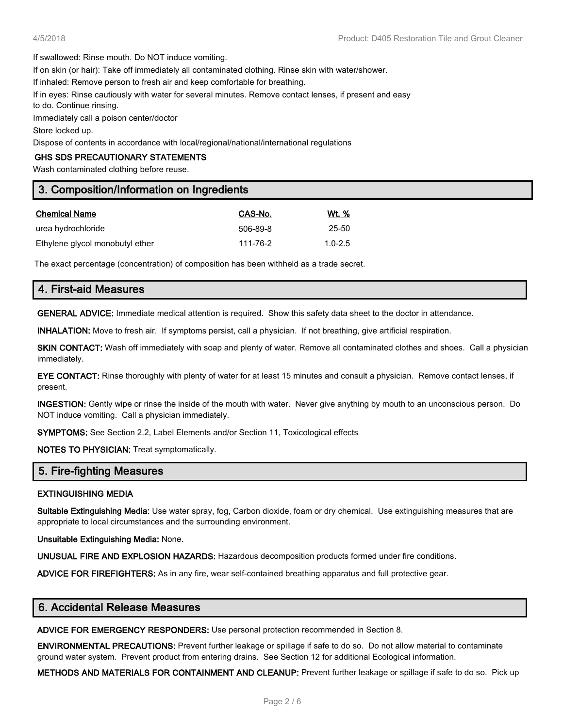If swallowed: Rinse mouth. Do NOT induce vomiting.

If on skin (or hair): Take off immediately all contaminated clothing. Rinse skin with water/shower.

If inhaled: Remove person to fresh air and keep comfortable for breathing.

If in eyes: Rinse cautiously with water for several minutes. Remove contact lenses, if present and easy

to do. Continue rinsing.

Immediately call a poison center/doctor

Store locked up.

Dispose of contents in accordance with local/regional/national/international regulations

#### **GHS SDS PRECAUTIONARY STATEMENTS**

Wash contaminated clothing before reuse.

## **3. Composition/Information on Ingredients**

| <b>Chemical Name</b>            | CAS-No.  | Wt. %       |
|---------------------------------|----------|-------------|
| urea hydrochloride              | 506-89-8 | 25-50       |
| Ethylene glycol monobutyl ether | 111-76-2 | $1.0 - 2.5$ |

The exact percentage (concentration) of composition has been withheld as a trade secret.

# **4. First-aid Measures**

**GENERAL ADVICE:** Immediate medical attention is required. Show this safety data sheet to the doctor in attendance.

**INHALATION:** Move to fresh air. If symptoms persist, call a physician. If not breathing, give artificial respiration.

**SKIN CONTACT:** Wash off immediately with soap and plenty of water. Remove all contaminated clothes and shoes. Call a physician immediately.

**EYE CONTACT:** Rinse thoroughly with plenty of water for at least 15 minutes and consult a physician. Remove contact lenses, if present.

**INGESTION:** Gently wipe or rinse the inside of the mouth with water. Never give anything by mouth to an unconscious person. Do NOT induce vomiting. Call a physician immediately.

**SYMPTOMS:** See Section 2.2, Label Elements and/or Section 11, Toxicological effects

**NOTES TO PHYSICIAN:** Treat symptomatically.

#### **5. Fire-fighting Measures**

#### **EXTINGUISHING MEDIA**

**Suitable Extinguishing Media:** Use water spray, fog, Carbon dioxide, foam or dry chemical. Use extinguishing measures that are appropriate to local circumstances and the surrounding environment.

**Unsuitable Extinguishing Media:** None.

**UNUSUAL FIRE AND EXPLOSION HAZARDS:** Hazardous decomposition products formed under fire conditions.

**ADVICE FOR FIREFIGHTERS:** As in any fire, wear self-contained breathing apparatus and full protective gear.

## **6. Accidental Release Measures**

**ADVICE FOR EMERGENCY RESPONDERS:** Use personal protection recommended in Section 8.

**ENVIRONMENTAL PRECAUTIONS:** Prevent further leakage or spillage if safe to do so. Do not allow material to contaminate ground water system. Prevent product from entering drains. See Section 12 for additional Ecological information.

**METHODS AND MATERIALS FOR CONTAINMENT AND CLEANUP:** Prevent further leakage or spillage if safe to do so. Pick up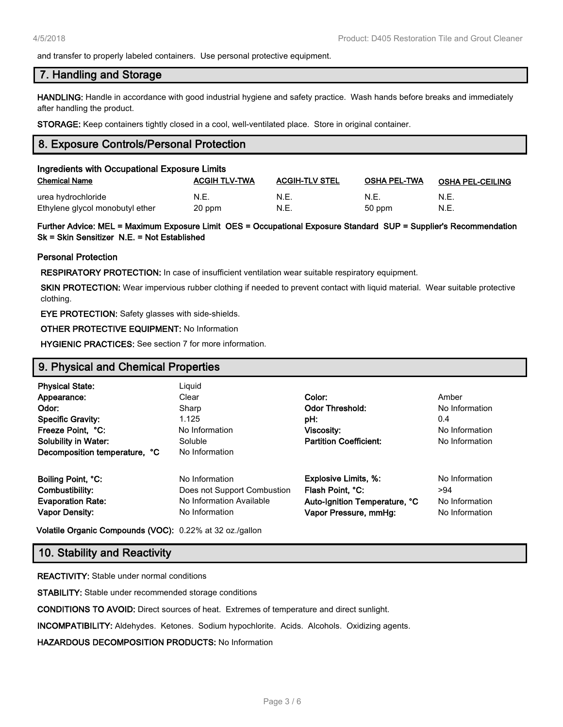and transfer to properly labeled containers. Use personal protective equipment.

#### **7. Handling and Storage**

**HANDLING:** Handle in accordance with good industrial hygiene and safety practice. Wash hands before breaks and immediately after handling the product.

**STORAGE:** Keep containers tightly closed in a cool, well-ventilated place. Store in original container.

## **8. Exposure Controls/Personal Protection**

| Ingredients with Occupational Exposure Limits         |                      |                       |                     |                         |  |
|-------------------------------------------------------|----------------------|-----------------------|---------------------|-------------------------|--|
| <b>Chemical Name</b>                                  | <b>ACGIH TLV-TWA</b> | <b>ACGIH-TLV STEL</b> | <b>OSHA PEL-TWA</b> | <b>OSHA PEL-CEILING</b> |  |
| urea hydrochloride<br>Ethylene glycol monobutyl ether | N.E.<br>20 ppm       | N.E.<br>N.E.          | N.E.<br>50 ppm      | N.E.<br>N.E.            |  |

**Further Advice: MEL = Maximum Exposure Limit OES = Occupational Exposure Standard SUP = Supplier's Recommendation Sk = Skin Sensitizer N.E. = Not Established**

#### **Personal Protection**

**RESPIRATORY PROTECTION:** In case of insufficient ventilation wear suitable respiratory equipment.

**SKIN PROTECTION:** Wear impervious rubber clothing if needed to prevent contact with liquid material. Wear suitable protective clothing.

**EYE PROTECTION:** Safety glasses with side-shields.

#### **OTHER PROTECTIVE EQUIPMENT:** No Information

**HYGIENIC PRACTICES:** See section 7 for more information.

## **9. Physical and Chemical Properties**

| <b>Physical State:</b><br>Appearance:<br>Odor:<br><b>Specific Gravity:</b><br>Freeze Point, °C:<br><b>Solubility in Water:</b><br>Decomposition temperature, °C | Liguid<br>Clear<br>Sharp<br>1.125<br>No Information<br>Soluble<br>No Information | Color:<br><b>Odor Threshold:</b><br>pH:<br>Viscosity:<br><b>Partition Coefficient:</b> | Amber<br>No Information<br>0.4<br>No Information<br>No Information |
|-----------------------------------------------------------------------------------------------------------------------------------------------------------------|----------------------------------------------------------------------------------|----------------------------------------------------------------------------------------|--------------------------------------------------------------------|
| Boiling Point, °C:                                                                                                                                              | No Information                                                                   | <b>Explosive Limits, %:</b>                                                            | No Information                                                     |
| Combustibility:                                                                                                                                                 | Does not Support Combustion                                                      | Flash Point, °C:                                                                       | >94                                                                |
| <b>Evaporation Rate:</b>                                                                                                                                        | No Information Available                                                         | Auto-Ignition Temperature, °C                                                          | No Information                                                     |
| <b>Vapor Density:</b>                                                                                                                                           | No Information                                                                   | Vapor Pressure, mmHg:                                                                  | No Information                                                     |

**Volatile Organic Compounds (VOC):** 0.22% at 32 oz./gallon

## **10. Stability and Reactivity**

**REACTIVITY:** Stable under normal conditions

**STABILITY:** Stable under recommended storage conditions

**CONDITIONS TO AVOID:** Direct sources of heat. Extremes of temperature and direct sunlight.

**INCOMPATIBILITY:** Aldehydes. Ketones. Sodium hypochlorite. Acids. Alcohols. Oxidizing agents.

**HAZARDOUS DECOMPOSITION PRODUCTS:** No Information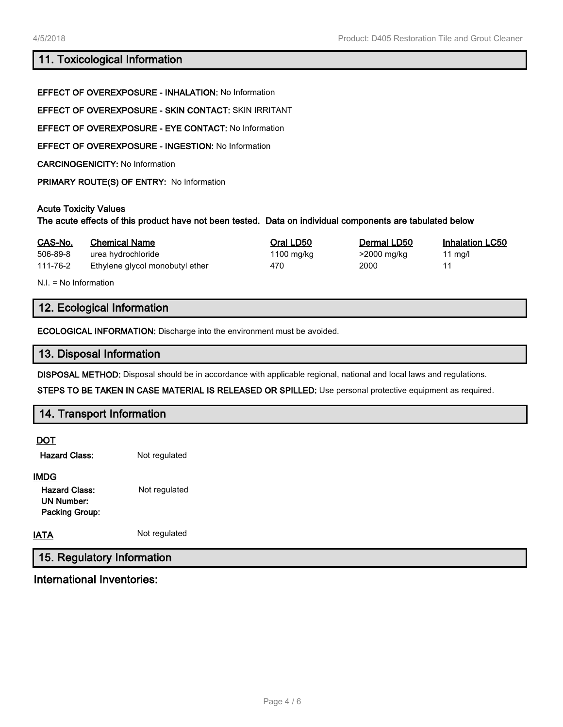## **11. Toxicological Information**

|                              | <b>EFFECT OF OVEREXPOSURE - INHALATION: No Information</b>                                                |            |             |          |
|------------------------------|-----------------------------------------------------------------------------------------------------------|------------|-------------|----------|
|                              | <b>EFFECT OF OVEREXPOSURE - SKIN CONTACT: SKIN IRRITANT</b>                                               |            |             |          |
|                              | <b>EFFECT OF OVEREXPOSURE - EYE CONTACT: No Information</b>                                               |            |             |          |
|                              | <b>EFFECT OF OVEREXPOSURE - INGESTION: No Information</b>                                                 |            |             |          |
|                              | <b>CARCINOGENICITY: No Information</b>                                                                    |            |             |          |
|                              | PRIMARY ROUTE(S) OF ENTRY: No Information                                                                 |            |             |          |
| <b>Acute Toxicity Values</b> | The acute effects of this product have not been tested. Data on individual components are tabulated below |            |             |          |
| CAS-No                       | Chemical Name                                                                                             | Oral I D50 | Dermal LD50 | Inhalati |

| CAS-No.  | <b>Chemical Name</b>            | Oral LD50  | Dermal LD50 | <b>Inhalation LC50</b> |
|----------|---------------------------------|------------|-------------|------------------------|
| 506-89-8 | urea hydrochloride              | 1100 mg/kg | >2000 mg/kg | 11 ma/l                |
| 111-76-2 | Ethylene glycol monobutyl ether | 470        | 2000        |                        |

N.I. = No Information

## **12. Ecological Information**

**ECOLOGICAL INFORMATION:** Discharge into the environment must be avoided.

## **13. Disposal Information**

**DISPOSAL METHOD:** Disposal should be in accordance with applicable regional, national and local laws and regulations.

**STEPS TO BE TAKEN IN CASE MATERIAL IS RELEASED OR SPILLED:** Use personal protective equipment as required.

## **14. Transport Information**

**DOT**

| <b>Hazard Class:</b> | Not regulated |
|----------------------|---------------|
|----------------------|---------------|

## **IMDG**

| <b>Hazard Class:</b>  | Not regulated |
|-----------------------|---------------|
| UN Number:            |               |
| <b>Packing Group:</b> |               |

**IATA** Not regulated

# **15. Regulatory Information**

**International Inventories:**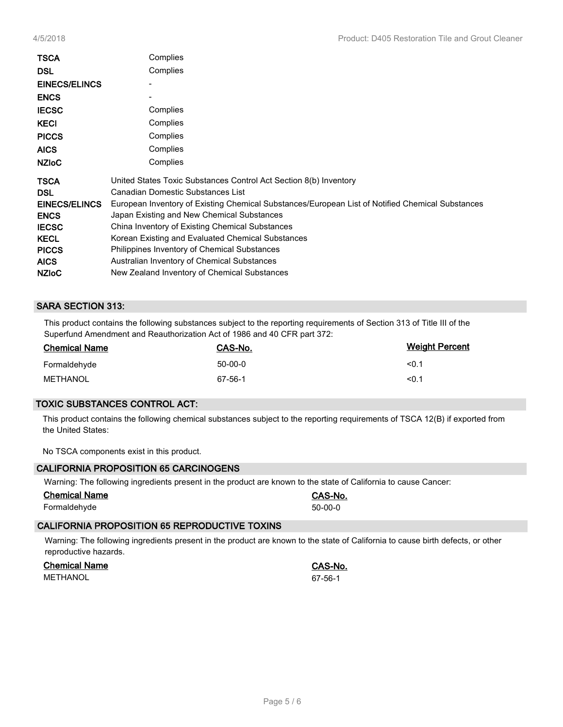| TSCA<br><b>DSL</b><br><b>EINECS/ELINCS</b><br><b>ENCS</b><br><b>IECSC</b><br><b>KECI</b><br><b>PICCS</b><br><b>AICS</b><br><b>NZIOC</b> | Complies<br>Complies<br>Complies<br>Complies<br>Complies<br>Complies<br>Complies                 |
|-----------------------------------------------------------------------------------------------------------------------------------------|--------------------------------------------------------------------------------------------------|
| <b>TSCA</b>                                                                                                                             | United States Toxic Substances Control Act Section 8(b) Inventory                                |
| <b>DSL</b>                                                                                                                              | Canadian Domestic Substances List                                                                |
| <b>EINECS/ELINCS</b>                                                                                                                    | European Inventory of Existing Chemical Substances/European List of Notified Chemical Substances |
| <b>ENCS</b>                                                                                                                             | Japan Existing and New Chemical Substances                                                       |
| <b>IECSC</b>                                                                                                                            | China Inventory of Existing Chemical Substances                                                  |
| <b>KECL</b>                                                                                                                             | Korean Existing and Evaluated Chemical Substances                                                |
| <b>PICCS</b>                                                                                                                            | Philippines Inventory of Chemical Substances                                                     |
| <b>AICS</b>                                                                                                                             | Australian Inventory of Chemical Substances                                                      |
| <b>NZIOC</b>                                                                                                                            | New Zealand Inventory of Chemical Substances                                                     |

#### **SARA SECTION 313:**

This product contains the following substances subject to the reporting requirements of Section 313 of Title III of the Superfund Amendment and Reauthorization Act of 1986 and 40 CFR part 372:

| <b>Chemical Name</b> | CAS-No.   | <b>Weight Percent</b> |
|----------------------|-----------|-----------------------|
| Formaldehyde         | $50-00-0$ | < 0.1                 |
| METHANOL             | 67-56-1   | < 0.1                 |

#### **TOXIC SUBSTANCES CONTROL ACT:**

This product contains the following chemical substances subject to the reporting requirements of TSCA 12(B) if exported from the United States:

No TSCA components exist in this product.

| <b>CALIFORNIA PROPOSITION 65 CARCINOGENS</b> |                                                                                                                 |
|----------------------------------------------|-----------------------------------------------------------------------------------------------------------------|
|                                              | Warning: The following ingredients present in the product are known to the state of California to cause Cancer: |
| <b>Chemical Name</b>                         | CAS-No.                                                                                                         |
| Formaldehyde                                 | $50-00-0$                                                                                                       |

#### **CALIFORNIA PROPOSITION 65 REPRODUCTIVE TOXINS**

Warning: The following ingredients present in the product are known to the state of California to cause birth defects, or other reproductive hazards.

| <b>Chemical Name</b> | CAS-No. |
|----------------------|---------|
| METHANOL             | 67-56-1 |